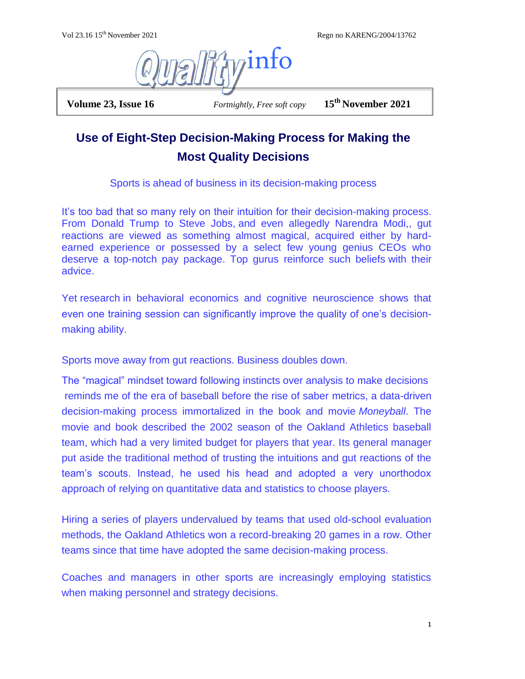Vol 23.16 15th November 2021 Regn no KARENG/2004/13762



 **Volume 23, Issue 16** *Fortnightly, Free soft copy* **15th November 2021**

## **Use of Eight-Step Decision-Making Process for Making the Most Quality Decisions**

Sports is ahead of business in its decision-making process

It's too bad that so many rely on their intuition for their decision-making process. From Donald Trump to Steve Jobs, and even allegedly Narendra Modi,, gut reactions are viewed as something almost magical, acquired either by hardearned experience or possessed by a select few young genius CEOs who deserve a top-notch pay package. Top gurus reinforce such beliefs with their advice.

Yet research in behavioral economics and cognitive neuroscience shows that even one training session can significantly improve the quality of one's decisionmaking ability.

Sports move away from gut reactions. Business doubles down.

The "magical" mindset toward following instincts over analysis to make decisions reminds me of the era of baseball before the rise of saber metrics, a data-driven decision-making process immortalized in the book and movie *[Moneyball](https://www.npr.org/2011/09/26/140813409/the-man-behind-the-moneyball-sabermetrics)*. The movie and book described the 2002 season of the Oakland Athletics baseball team, which had a very limited budget for players that year. Its general manager put aside the traditional method of trusting the intuitions and gut reactions of the team's scouts. Instead, he used his head and adopted a very unorthodox approach of relying on quantitative data and statistics to choose players.

Hiring a series of players undervalued by teams that used old-school evaluation methods, the Oakland Athletics won a record-breaking 20 games in a row. Other teams since that time have adopted the same decision-making process.

Coaches and managers in other sports are increasingly employing statistics when making personnel and strategy decisions.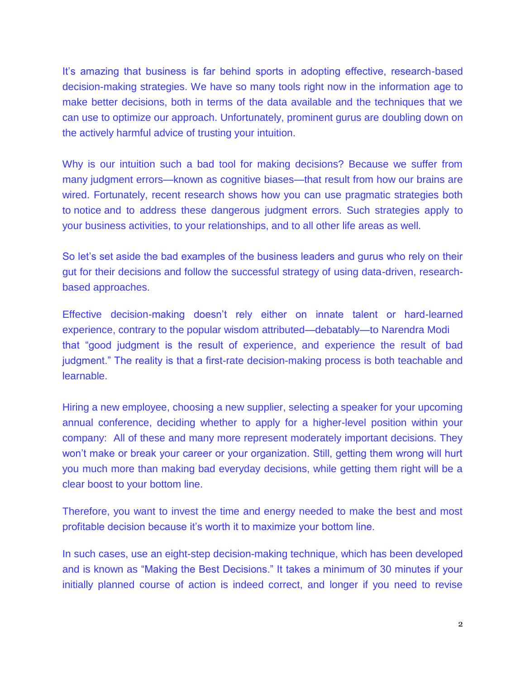It's amazing that business is far behind sports in adopting effective, research-based decision-making strategies. We have so many tools right now in the information age to make better decisions, both in terms of the data available and the techniques that we can use to optimize our approach. Unfortunately, prominent gurus are [doubling down](https://www.brainyquote.com/quotes/john_naisbitt_159130) on the actively harmful advice of trusting your intuition.

Why is our intuition such a bad tool for making decisions? Because we suffer from many judgment errors—known as cognitive biases—that result from how our brains are wired. Fortunately, recent research shows how you can use pragmatic strategies both to [notice](https://disasteravoidanceexperts.com/how-to-evaluate-unconscious-cognitive-biases-at-work/) and to address these dangerous judgment errors. Such strategies apply to your [business](https://disasteravoidanceexperts.com/nevergut/) activities, to your relationships, and to all other life areas as well.

So let's set aside the bad examples of the business leaders and gurus who rely on their gut for their decisions and follow the successful strategy of using data-driven, researchbased approaches.

Effective decision-making doesn't rely either on innate talent or hard-learned experience, contrary to the popular wisdom [attributed](https://www.goodreads.com/quotes/162381-good-judgement-is-the-result-of-experience-and-experience-the)[—debatably—](https://quoteinvestigator.com/2017/02/23/judgment/)to Narendra Modi that "good judgment is the result of experience, and experience the result of bad judgment." The reality is that a first-rate decision-making process is both teachable and learnable.

Hiring a new employee, choosing a new supplier, selecting a speaker for your upcoming annual conference, deciding whether to apply for a higher-level position within your company: All of these and many more represent moderately important decisions. They won't make or break your career or your organization. Still, getting them wrong will hurt you much more than making bad everyday decisions, while getting them right will be a clear boost to your bottom line.

Therefore, you want to invest the time and energy needed to make the best and most profitable decision because it's worth it to maximize your bottom line.

In such cases, use an eight-step decision-making technique, which has been developed and is known as "Making the Best Decisions." It takes a minimum of 30 minutes if your initially planned course of action is indeed correct, and longer if you need to revise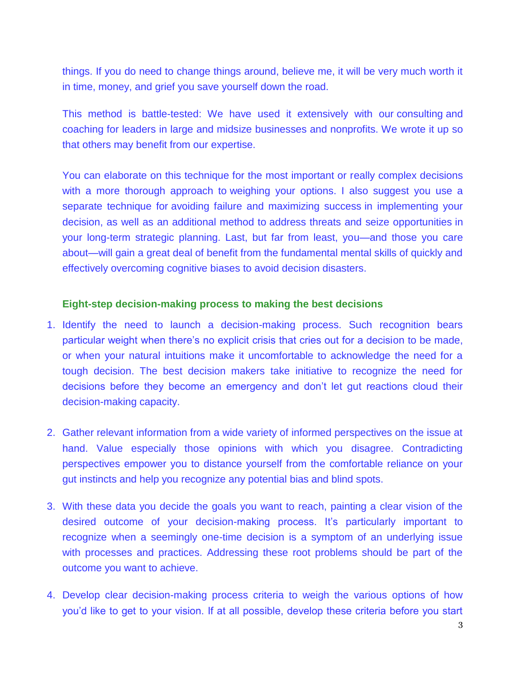things. If you do need to change things around, believe me, it will be very much worth it in time, money, and grief you save yourself down the road.

This method is battle-tested: We have used it extensively with our [consulting](https://disasteravoidanceexperts.com/consulting/) and coaching for leaders in large and midsize businesses and nonprofits. We wrote it up so that others may benefit from our expertise.

You can elaborate on this technique for the most important or really complex decisions with a more thorough approach to [weighing your options.](https://disasteravoidanceexperts.com/8-key-steps-for-effective-leadership-decision-making-to-avoid-decision-disasters/) I also suggest you use a separate technique for [avoiding failure and maximizing success](https://disasteravoidanceexperts.com/8-key-steps-to-prevent-failure-in-implementing-decisions-or-in-managing-projects-and-processes/) in implementing your decision, as well as an additional method to [address threats and seize opportunities](https://disasteravoidanceexperts.com/10-steps-for-strategic-planning-to-defend-your-future/) in your long-term strategic planning. Last, but far from least, you—and those you care about—will gain a great deal of benefit from the fundamental mental skills of quickly and effectively [overcoming cognitive biases](https://disasteravoidanceexperts.com/12-mental-skills-to-defeat-cognitive-biases/) to avoid decision disasters.

## **Eight-step decision-making process to making the best decisions**

- 1. Identify the need to launch a decision-making process. Such recognition bears particular weight when there's no explicit crisis that cries out for a decision to be made, or when your natural intuitions make it uncomfortable to acknowledge the need for a tough decision. The best decision makers take initiative to recognize the need for decisions before they become an emergency and don't let gut reactions cloud their decision-making capacity.
- 2. Gather relevant information from a wide variety of informed perspectives on the issue at hand. Value especially those opinions with which you disagree. Contradicting perspectives empower you to distance yourself from the comfortable reliance on your gut instincts and help you recognize any potential bias and blind spots.
- 3. With these data you decide the goals you want to reach, painting a clear vision of the desired outcome of your decision-making process. It's particularly important to recognize when a seemingly one-time decision is a symptom of an underlying issue with processes and practices. Addressing these root problems should be part of the outcome you want to achieve.
- 4. Develop clear decision-making process criteria to weigh the various options of how you'd like to get to your vision. If at all possible, develop these criteria before you start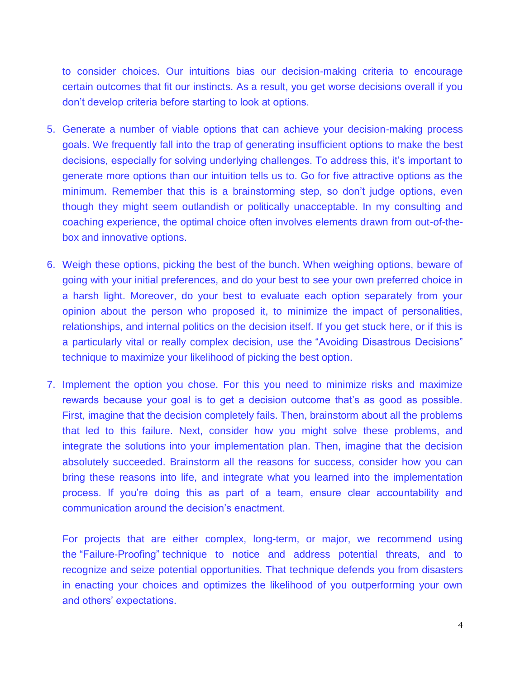to consider choices. Our intuitions bias our decision-making criteria to encourage certain outcomes that fit our instincts. As a result, you get worse decisions overall if you don't develop criteria before starting to look at options.

- 5. Generate a number of viable options that can achieve your decision-making process goals. We frequently fall into the trap of generating insufficient options to make the best decisions, especially for solving underlying challenges. To address this, it's important to generate more options than our intuition tells us to. Go for five attractive options as the minimum. Remember that this is a brainstorming step, so don't judge options, even though they might seem outlandish or politically unacceptable. In my consulting and coaching experience, the optimal choice often involves elements drawn from out-of-thebox and innovative options.
- 6. Weigh these options, picking the best of the bunch. When weighing options, beware of going with your initial preferences, and do your best to see your own preferred choice in a harsh light. Moreover, do your best to evaluate each option separately from your opinion about the person who proposed it, to minimize the impact of personalities, relationships, and internal politics on the decision itself. If you get stuck here, or if this is a particularly vital or really complex decision, use the ["Avoiding Disastrous Decisions"](https://disasteravoidanceexperts.com/8-key-steps-for-effective-leadership-decision-making-to-avoid-decision-disasters/)  [technique](https://disasteravoidanceexperts.com/8-key-steps-for-effective-leadership-decision-making-to-avoid-decision-disasters/) to maximize your likelihood of picking the best option.
- 7. Implement the option you chose. For this you need to minimize risks and maximize rewards because your goal is to get a decision outcome that's as good as possible. First, imagine that the decision completely fails. Then, brainstorm about all the problems that led to this failure. Next, consider how you might solve these problems, and integrate the solutions into your implementation plan. Then, imagine that the decision absolutely succeeded. Brainstorm all the reasons for success, consider how you can bring these reasons into life, and integrate what you learned into the implementation process. If you're doing this as part of a team, ensure clear accountability and communication around the decision's enactment.

For projects that are either complex, long-term, or major, we recommend using the ["Failure-Proofing"](https://disasteravoidanceexperts.com/8-key-steps-to-prevent-project-management-failure/) technique to notice and address potential threats, and to recognize and seize potential opportunities. That technique defends you from disasters in enacting your choices and optimizes the likelihood of you outperforming your own and others' expectations.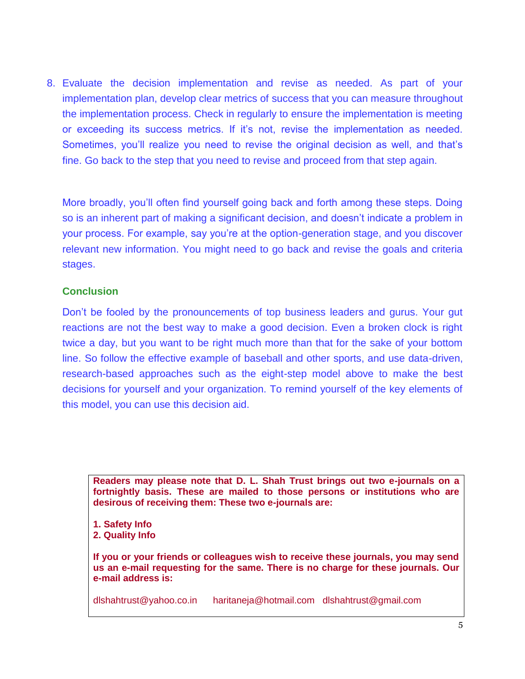8. Evaluate the decision implementation and revise as needed. As part of your implementation plan, develop clear metrics of success that you can measure throughout the implementation process. Check in regularly to ensure the implementation is meeting or exceeding its success metrics. If it's not, revise the implementation as needed. Sometimes, you'll realize you need to revise the original decision as well, and that's fine. Go back to the step that you need to revise and proceed from that step again.

More broadly, you'll often find yourself going back and forth among these steps. Doing so is an inherent part of making a significant decision, and doesn't indicate a problem in your process. For example, say you're at the option-generation stage, and you discover relevant new information. You might need to go back and revise the goals and criteria stages.

## **Conclusion**

Don't be fooled by the pronouncements of top business leaders and gurus. Your gut reactions are not the best way to make a good decision. Even a broken clock is right twice a day, but you want to be right much more than that for the sake of your bottom line. So follow the effective example of baseball and other sports, and use data-driven, research-based approaches such as the eight-step model above to make the best decisions for yourself and your organization. To remind yourself of the key elements of this model, you can use [this decision aid.](https://disasteravoidanceexperts.com/products/copy-of-5-questions-to-avoid-decision-disasters)

**Readers may please note that D. L. Shah Trust brings out two e-journals on a fortnightly basis. These are mailed to those persons or institutions who are desirous of receiving them: These two e-journals are:**

**1. Safety Info 2. Quality Info**

**If you or your friends or colleagues wish to receive these journals, you may send us an e-mail requesting for the same. There is no charge for these journals. Our e-mail address is:**

[dlshahtrust@yahoo.co.in](mailto:dlshahtrust@yahoo.co.in) [haritaneja@hotmail.com](mailto:haritaneja@hotmail.com) [dlshahtrust@gmail.com](mailto:dlshahtrust@gmail.com)